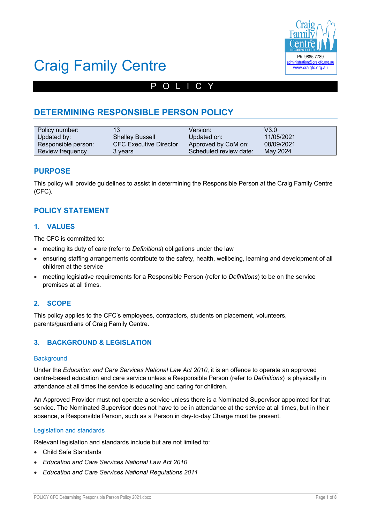

# Craig Family Centre

## POLICY

## **DETERMINING RESPONSIBLE PERSON POLICY**

| Policy number:      | 13                            | Version:               | V3.0       |
|---------------------|-------------------------------|------------------------|------------|
| Updated by:         | <b>Shelley Bussell</b>        | Updated on:            | 11/05/2021 |
| Responsible person: | <b>CFC Executive Director</b> | Approved by CoM on:    | 08/09/2021 |
| Review frequency    | 3 years                       | Scheduled review date: | May 2024   |

#### **PURPOSE**

This policy will provide guidelines to assist in determining the Responsible Person at the Craig Family Centre (CFC).

#### **POLICY STATEMENT**

#### **1. VALUES**

The CFC is committed to:

- meeting its duty of care (refer to *Definitions*) obligations under the law
- ensuring staffing arrangements contribute to the safety, health, wellbeing, learning and development of all children at the service
- meeting legislative requirements for a Responsible Person (refer to *Definitions*) to be on the service premises at all times.

#### **2. SCOPE**

This policy applies to the CFC's employees, contractors, students on placement, volunteers, parents/guardians of Craig Family Centre.

#### **3. BACKGROUND & LEGISLATION**

#### **Background**

Under the *Education and Care Services National Law Act 2010*, it is an offence to operate an approved centre-based education and care service unless a Responsible Person (refer to *Definitions*) is physically in attendance at all times the service is educating and caring for children.

An Approved Provider must not operate a service unless there is a Nominated Supervisor appointed for that service. The Nominated Supervisor does not have to be in attendance at the service at all times, but in their absence, a Responsible Person, such as a Person in day-to-day Charge must be present.

#### Legislation and standards

Relevant legislation and standards include but are not limited to:

- Child Safe Standards
- *Education and Care Services National Law Act 2010*
- *Education and Care Services National Regulations 2011*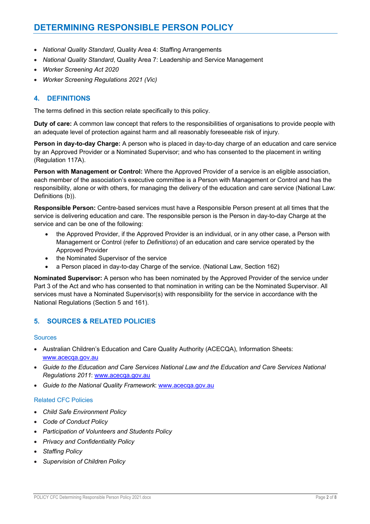- *National Quality Standard*, Quality Area 4: Staffing Arrangements
- *National Quality Standard*, Quality Area 7: Leadership and Service Management
- *Worker Screening Act 2020*
- *Worker Screening Regulations 2021 (Vic)*

#### **4. DEFINITIONS**

The terms defined in this section relate specifically to this policy.

**Duty of care:** A common law concept that refers to the responsibilities of organisations to provide people with an adequate level of protection against harm and all reasonably foreseeable risk of injury.

**Person in day-to-day Charge:** A person who is placed in day-to-day charge of an education and care service by an Approved Provider or a Nominated Supervisor; and who has consented to the placement in writing (Regulation 117A).

**Person with Management or Control:** Where the Approved Provider of a service is an eligible association, each member of the association's executive committee is a Person with Management or Control and has the responsibility, alone or with others, for managing the delivery of the education and care service (National Law: Definitions (b)).

**Responsible Person:** Centre-based services must have a Responsible Person present at all times that the service is delivering education and care. The responsible person is the Person in day-to-day Charge at the service and can be one of the following:

- the Approved Provider, if the Approved Provider is an individual, or in any other case, a Person with Management or Control (refer to *Definitions*) of an education and care service operated by the Approved Provider
- the Nominated Supervisor of the service
- a Person placed in day-to-day Charge of the service. (National Law, Section 162)

**Nominated Supervisor:** A person who has been nominated by the Approved Provider of the service under Part 3 of the Act and who has consented to that nomination in writing can be the Nominated Supervisor. All services must have a Nominated Supervisor(s) with responsibility for the service in accordance with the National Regulations (Section 5 and 161).

#### **5. SOURCES & RELATED POLICIES**

#### **Sources**

- Australian Children's Education and Care Quality Authority (ACECQA), Information Sheets: www.acecqa.gov.au
- *Guide to the Education and Care Services National Law and the Education and Care Services National Regulations 2011*: www.acecqa.gov.au
- *Guide to the National Quality Framework*: www.acecqa.gov.au

#### Related CFC Policies

- *Child Safe Environment Policy*
- *Code of Conduct Policy*
- *Participation of Volunteers and Students Policy*
- *Privacy and Confidentiality Policy*
- *Staffing Policy*
- *Supervision of Children Policy*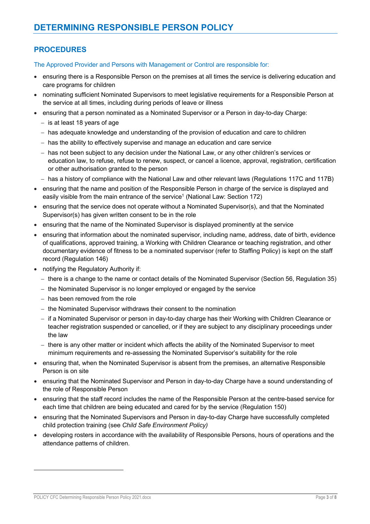### **PROCEDURES**

The Approved Provider and Persons with Management or Control are responsible for:

- ensuring there is a Responsible Person on the premises at all times the service is delivering education and care programs for children
- nominating sufficient Nominated Supervisors to meet legislative requirements for a Responsible Person at the service at all times, including during periods of leave or illness
- ensuring that a person nominated as a Nominated Supervisor or a Person in day-to-day Charge:
	- is at least 18 years of age
	- has adequate knowledge and understanding of the provision of education and care to children
	- has the ability to effectively supervise and manage an education and care service
	- has not been subject to any decision under the National Law, or any other children's services or education law, to refuse, refuse to renew, suspect, or cancel a licence, approval, registration, certification or other authorisation granted to the person
	- has a history of compliance with the National Law and other relevant laws (Regulations 117C and 117B)
- ensuring that the name and position of the Responsible Person in charge of the service is displayed and easily visible from the main entrance of the service<sup>1</sup> (National Law: Section 172)
- ensuring that the service does not operate without a Nominated Supervisor(s), and that the Nominated Supervisor(s) has given written consent to be in the role
- ensuring that the name of the Nominated Supervisor is displayed prominently at the service
- ensuring that information about the nominated supervisor, including name, address, date of birth, evidence of qualifications, approved training, a Working with Children Clearance or teaching registration, and other documentary evidence of fitness to be a nominated supervisor (refer to Staffing Policy) is kept on the staff record (Regulation 146)
- notifying the Regulatory Authority if:
	- there is a change to the name or contact details of the Nominated Supervisor (Section 56, Regulation 35)
	- the Nominated Supervisor is no longer employed or engaged by the service
	- has been removed from the role
	- the Nominated Supervisor withdraws their consent to the nomination
	- if a Nominated Supervisor or person in day-to-day charge has their Working with Children Clearance or teacher registration suspended or cancelled, or if they are subject to any disciplinary proceedings under the law
	- there is any other matter or incident which affects the ability of the Nominated Supervisor to meet minimum requirements and re-assessing the Nominated Supervisor's suitability for the role
- ensuring that, when the Nominated Supervisor is absent from the premises, an alternative Responsible Person is on site
- ensuring that the Nominated Supervisor and Person in day-to-day Charge have a sound understanding of the role of Responsible Person
- ensuring that the staff record includes the name of the Responsible Person at the centre-based service for each time that children are being educated and cared for by the service (Regulation 150)
- ensuring that the Nominated Supervisors and Person in day-to-day Charge have successfully completed child protection training (see *Child Safe Environment Policy)*
- developing rosters in accordance with the availability of Responsible Persons, hours of operations and the attendance patterns of children.

POLICY CFC Determining Responsible Person Policy 2021.docx Page **3** of **8**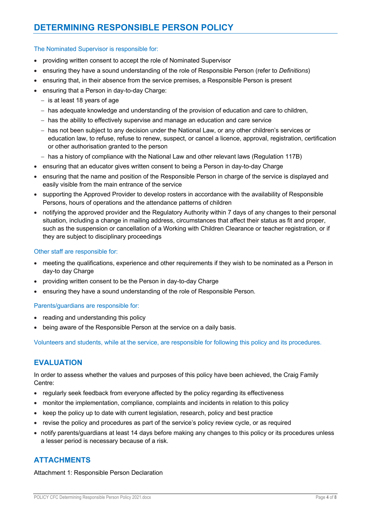### **DETERMINING RESPONSIBLE PERSON POLICY**

#### The Nominated Supervisor is responsible for:

- providing written consent to accept the role of Nominated Supervisor
- ensuring they have a sound understanding of the role of Responsible Person (refer to *Definitions*)
- ensuring that, in their absence from the service premises, a Responsible Person is present
- ensuring that a Person in day-to-day Charge:
	- $-$  is at least 18 years of age
	- has adequate knowledge and understanding of the provision of education and care to children,
	- has the ability to effectively supervise and manage an education and care service
	- has not been subject to any decision under the National Law, or any other children's services or education law, to refuse, refuse to renew, suspect, or cancel a licence, approval, registration, certification or other authorisation granted to the person
	- has a history of compliance with the National Law and other relevant laws (Regulation 117B)
- ensuring that an educator gives written consent to being a Person in day-to-day Charge
- ensuring that the name and position of the Responsible Person in charge of the service is displayed and easily visible from the main entrance of the service
- supporting the Approved Provider to develop rosters in accordance with the availability of Responsible Persons, hours of operations and the attendance patterns of children
- notifying the approved provider and the Regulatory Authority within 7 days of any changes to their personal situation, including a change in mailing address, circumstances that affect their status as fit and proper, such as the suspension or cancellation of a Working with Children Clearance or teacher registration, or if they are subject to disciplinary proceedings

#### Other staff are responsible for:

- meeting the qualifications, experience and other requirements if they wish to be nominated as a Person in day-to day Charge
- providing written consent to be the Person in day-to-day Charge
- ensuring they have a sound understanding of the role of Responsible Person.

#### Parents/guardians are responsible for:

- reading and understanding this policy
- being aware of the Responsible Person at the service on a daily basis.

Volunteers and students, while at the service, are responsible for following this policy and its procedures.

#### **EVALUATION**

In order to assess whether the values and purposes of this policy have been achieved, the Craig Family Centre:

- regularly seek feedback from everyone affected by the policy regarding its effectiveness
- monitor the implementation, compliance, complaints and incidents in relation to this policy
- keep the policy up to date with current legislation, research, policy and best practice
- revise the policy and procedures as part of the service's policy review cycle, or as required
- notify parents/guardians at least 14 days before making any changes to this policy or its procedures unless a lesser period is necessary because of a risk.

#### **ATTACHMENTS**

Attachment 1: Responsible Person Declaration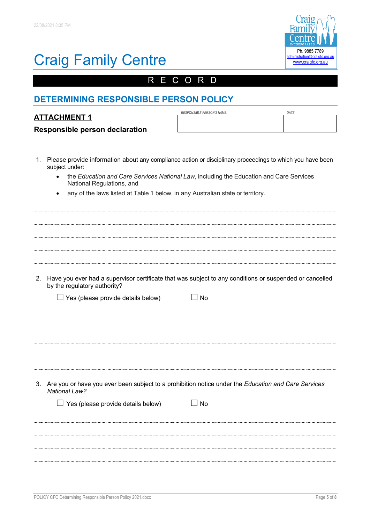

## Craig Family Centre

## RECORD

## **DETERMINING RESPONSIBLE PERSON POLICY**

| <b>ATTACHMENT 1</b>            | RESPONSIBLE PERSON'S NAME: | DATE. |
|--------------------------------|----------------------------|-------|
| Responsible person declaration |                            |       |

- 1. Please provide information about any compliance action or disciplinary proceedings to which you have been subject under:
	- the *Education and Care Services National Law*, including the Education and Care Services National Regulations, and
	- any of the laws listed at Table 1 below, in any Australian state or territory.

| 2. | Have you ever had a supervisor certificate that was subject to any conditions or suspended or cancelled<br>by the regulatory authority? |
|----|-----------------------------------------------------------------------------------------------------------------------------------------|
|    | $\Box$ Yes (please provide details below)<br>$\square$ No                                                                               |
|    |                                                                                                                                         |
|    |                                                                                                                                         |
|    |                                                                                                                                         |
|    |                                                                                                                                         |
|    |                                                                                                                                         |
|    |                                                                                                                                         |
|    |                                                                                                                                         |
|    | 3. Are you or have you ever been subject to a prohibition notice under the Education and Care Services<br><b>National Law?</b>          |
|    | $\Box$ Yes (please provide details below)<br>$\square$ No                                                                               |
|    |                                                                                                                                         |
|    |                                                                                                                                         |
|    |                                                                                                                                         |
|    |                                                                                                                                         |
|    |                                                                                                                                         |
|    |                                                                                                                                         |
|    |                                                                                                                                         |
|    |                                                                                                                                         |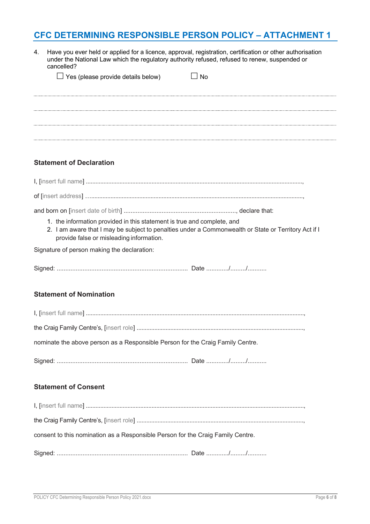## **CFC DETERMINING RESPONSIBLE PERSON POLICY – ATTACHMENT 1**

| 4. | Have you ever held or applied for a licence, approval, registration, certification or other authorisation<br>under the National Law which the regulatory authority refused, refused to renew, suspended or<br>cancelled?    |  |
|----|-----------------------------------------------------------------------------------------------------------------------------------------------------------------------------------------------------------------------------|--|
|    | $\Box$ Yes (please provide details below)<br>$\Box$ No                                                                                                                                                                      |  |
|    |                                                                                                                                                                                                                             |  |
|    |                                                                                                                                                                                                                             |  |
|    |                                                                                                                                                                                                                             |  |
|    |                                                                                                                                                                                                                             |  |
|    | <b>Statement of Declaration</b>                                                                                                                                                                                             |  |
|    |                                                                                                                                                                                                                             |  |
|    |                                                                                                                                                                                                                             |  |
|    |                                                                                                                                                                                                                             |  |
|    | 1. the information provided in this statement is true and complete, and<br>2. I am aware that I may be subject to penalties under a Commonwealth or State or Territory Act if I<br>provide false or misleading information. |  |
|    | Signature of person making the declaration:                                                                                                                                                                                 |  |
|    |                                                                                                                                                                                                                             |  |
|    | <b>Statement of Nomination</b>                                                                                                                                                                                              |  |
|    |                                                                                                                                                                                                                             |  |
|    |                                                                                                                                                                                                                             |  |
|    | nominate the above person as a Responsible Person for the Craig Family Centre.                                                                                                                                              |  |
|    |                                                                                                                                                                                                                             |  |
|    | <b>Statement of Consent</b>                                                                                                                                                                                                 |  |
|    |                                                                                                                                                                                                                             |  |
|    |                                                                                                                                                                                                                             |  |
|    | consent to this nomination as a Responsible Person for the Craig Family Centre.                                                                                                                                             |  |
|    |                                                                                                                                                                                                                             |  |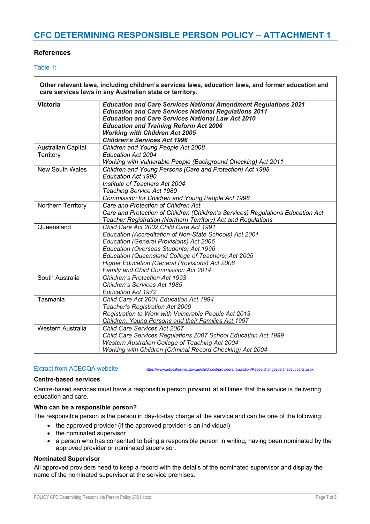## **CFC DETERMINING RESPONSIBLE PERSON POLICY – ATTACHMENT 1**

#### **References**

#### Table 1:

| Other relevant laws, including children's services laws, education laws, and former education and<br>care services laws in any Australian state or territory. |                                                                                                                                                                                                                                                                                                                                                 |  |
|---------------------------------------------------------------------------------------------------------------------------------------------------------------|-------------------------------------------------------------------------------------------------------------------------------------------------------------------------------------------------------------------------------------------------------------------------------------------------------------------------------------------------|--|
| Victoria                                                                                                                                                      | <b>Education and Care Services National Amendment Regulations 2021</b><br><b>Education and Care Services National Regulations 2011</b><br><b>Education and Care Services National Law Act 2010</b><br><b>Education and Training Reform Act 2006</b><br><b>Working with Children Act 2005</b><br><b>Children's Services Act 1996</b>             |  |
| Australian Capital<br>Territory                                                                                                                               | Children and Young People Act 2008<br>Education Act 2004<br>Working with Vulnerable People (Background Checking) Act 2011                                                                                                                                                                                                                       |  |
| <b>New South Wales</b>                                                                                                                                        | Children and Young Persons (Care and Protection) Act 1998<br><b>Education Act 1990</b><br>Institute of Teachers Act 2004<br>Teaching Service Act 1980<br>Commission for Children and Young People Act 1998                                                                                                                                      |  |
| Northern Territory                                                                                                                                            | Care and Protection of Children Act<br>Care and Protection of Children (Children's Services) Regulations Education Act<br>Teacher Registration (Northern Territory) Act and Regulations                                                                                                                                                         |  |
| Queensland                                                                                                                                                    | Child Care Act 2002 Child Care Act 1991<br>Education (Accreditation of Non-State Schools) Act 2001<br>Education (General Provisions) Act 2006<br>Education (Overseas Students) Act 1996<br>Education (Queensland College of Teachers) Act 2005<br><b>Higher Education (General Provisions) Act 2008</b><br>Family and Child Commission Act 2014 |  |
| South Australia                                                                                                                                               | <b>Children's Protection Act 1993</b><br>Children's Services Act 1985<br><b>Education Act 1972</b>                                                                                                                                                                                                                                              |  |
| Tasmania                                                                                                                                                      | Child Care Act 2001 Education Act 1994<br>Teacher's Registration Act 2000<br>Registration to Work with Vulnerable People Act 2013<br>Children, Young Persons and their Families Act 1997                                                                                                                                                        |  |
| Western Australia                                                                                                                                             | Child Care Services Act 2007<br>Child Care Services Regulations 2007 School Education Act 1999<br>Western Australian College of Teaching Act 2004<br>Working with Children (Criminal Record Checking) Act 2004                                                                                                                                  |  |

Extract from ACECQA website: https://www.education.vic.gov.au/childhood/providers/regulation/Pages/changescertifiedsupcerts.aspx

#### **Centre-based services**

Centre-based services must have a responsible person **present** at all times that the service is delivering education and care.

#### **Who can be a responsible person?**

The responsible person is the person in day-to-day charge at the service and can be one of the following:

- the approved provider (if the approved provider is an individual)
- the nominated supervisor
- a person who has consented to being a responsible person in writing, having been nominated by the approved provider or nominated supervisor.

#### **Nominated Supervisor**

All approved providers need to keep a record with the details of the nominated supervisor and display the name of the nominated supervisor at the service premises.